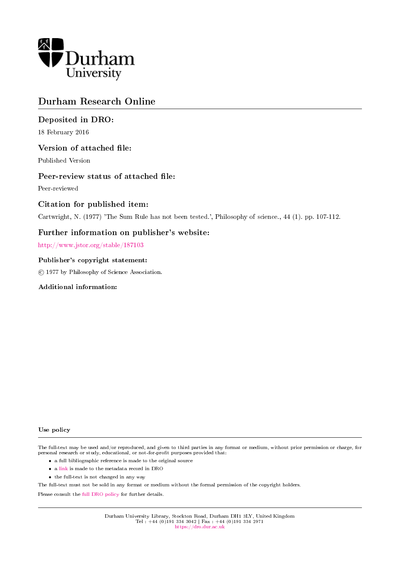

# Durham Research Online

## Deposited in DRO:

18 February 2016

## Version of attached file:

Published Version

## Peer-review status of attached file:

Peer-reviewed

## Citation for published item:

Cartwright, N. (1977) 'The Sum Rule has not been tested.', Philosophy of science., 44 (1). pp. 107-112.

## Further information on publisher's website:

<http://www.jstor.org/stable/187103>

### Publisher's copyright statement:

c 1977 by Philosophy of Science Association.

### Additional information:

#### Use policy

The full-text may be used and/or reproduced, and given to third parties in any format or medium, without prior permission or charge, for personal research or study, educational, or not-for-profit purposes provided that:

- a full bibliographic reference is made to the original source
- a [link](http://dro.dur.ac.uk/17629/) is made to the metadata record in DRO
- the full-text is not changed in any way

The full-text must not be sold in any format or medium without the formal permission of the copyright holders.

Please consult the [full DRO policy](https://dro.dur.ac.uk/policies/usepolicy.pdf) for further details.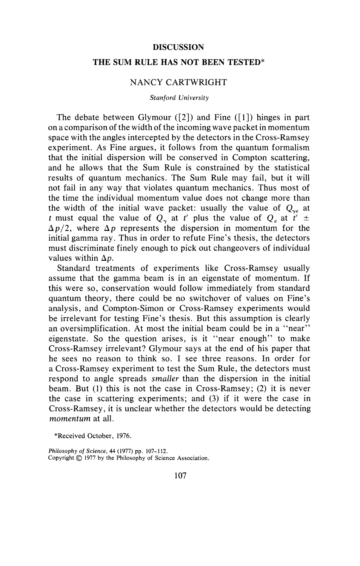#### **DISCUSSION**

#### THE SUM RULE HAS NOT BEEN TESTED\*

#### NANCY CARTWRIGHT

#### *Stanford University*

The debate between Glymour  $(2)$  and Fine  $(1)$  hinges in part on a comparison of the width of the incoming wave packet in momentum space with the angles intercepted by the detectors in the Cross-Ramsey experiment. As Fine argues, it follows from the quantum formalism that the initial dispersion will be conserved in Compton scattering, and he allows that the Sum Rule is constrained by the statistical results of quantum mechanics. The Sum Rule may fail, but it will not fail in any way that violates quantum mechanics. Thus most of the time the individual momentum value does not change more than the width of the initial wave packet: usually the value of  $Q_{\gamma}$  at *t* must equal the value of  $Q_{\gamma}$  at *t'* plus the value of  $Q_{e}$  at  $t' \pm$  $\Delta p/2$ , where  $\Delta p$  represents the dispersion in momentum for the initial gamma ray. Thus in order to refute Fine's thesis, the detectors must discriminate finely enough to pick out changeovers of individual values within  $\Delta p$ .

Standard treatments of experiments like Cross-Ramsey usually assume that the gamma beam is in an eigenstate of momentum. If this were so, conservation would follow immediately from standard quantum theory, there could be no switchover of values on Fine's analysis, and Compton-Simon or Cross-Ramsey experiments would be irrelevant for testing Fine's thesis. But this assumption is clearly an oversimplification. At most the initial beam could be in a "near" eigenstate. So the question arises, is it "near enough" to make Cross-Ramsey irrelevant? Glymour says at the end of his paper that he sees no reason to think so. I see three reasons. In order for a Cross-Ramsey experiment to test the Sum Rule, the detectors must respond to angle spreads *smaller* than the dispersion in the initial beam. But (1) this is not the case in Cross-Ramsey; (2) it is never the case in scattering experiments; and (3) if it were the case in Cross-Ramsey, it is unclear whether the detectors would be detecting *momentum* at all.

*Philosophy of Science.* 44 (1977) pp. 107-112. Copyright© 1977 by the Philosophy of Science Association.

<sup>\*</sup>Received October, 1976.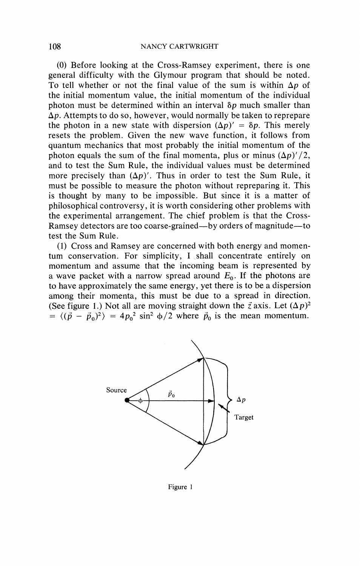(0) Before looking at the Cross-Ramsey experiment, there is one general difficulty with the Glymour program that should be noted. To tell whether or not the final value of the sum is within  $\Delta p$  of the initial momentum value, the initial momentum of the individual photon must be determined within an interval  $\delta p$  much smaller than  $\Delta p$ . Attempts to do so, however, would normally be taken to reprepare the photon in a new state with dispersion  $(\Delta p)' = \delta p$ . This merely resets the problem. Given the new wave function, it follows from quantum mechanics that most probably the initial momentum of the photon equals the sum of the final momenta, plus or minus  $(\Delta p)' / 2$ , and to test the Sum Rule, the individual values must be determined more precisely than  $(\Delta p)'$ . Thus in order to test the Sum Rule, it must be possible to measure the photon without repreparing it. This is thought by many to be impossible. But since it is a matter of philosophical controversy, it is worth considering other problems with the experimental arrangement. The chief problem is that the Cross-Ramsey detectors are too coarse-grained—by orders of magnitude—to test the Sum Rule.

(1) Cross and Ramsey are concerned with both energy and momentum conservation. For simplicity, I shall concentrate entirely on momentum and assume that the incoming beam is represented by a wave packet with a narrow spread around  $E_0$ . If the photons are to have approximately the same energy, yet there is to be a dispersion among their momenta, this must be due to a spread in direction. (See figure 1.) Not all are moving straight down the  $\vec{z}$  axis. Let  $(\Delta p)^2$  $= \langle (\vec{p} - \vec{p}_0)^2 \rangle = 4p_0^2 \sin^2 \phi/2$  where  $\vec{p}_0$  is the mean momentum.



Figure I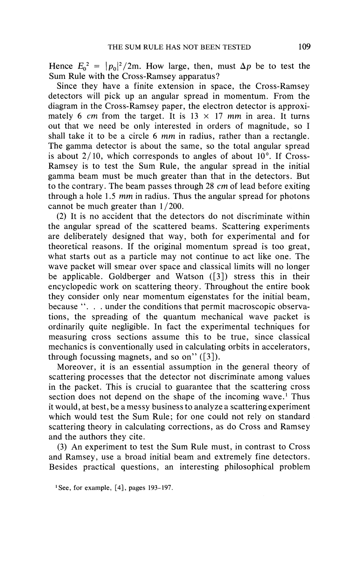Hence  $E_0^2 = |p_0|^2 / 2m$ . How large, then, must  $\Delta p$  be to test the Sum Rule with the Cross-Ramsey apparatus?

Since they have a finite extension in space, the Cross-Ramsey detectors will pick up an angular spread in momentum. From the diagram in the Cross-Ramsey paper, the electron detector is approximately 6 *cm* from the target. It is  $13 \times 17$  *mm* in area. It turns out that we need be only interested in orders of magnitude, so I shall take it to be a circle 6 *mm* in radius, rather than a rectangle. The gamma detector is about the same, so the total angular spread is about  $2/10$ , which corresponds to angles of about  $10^{\circ}$ . If Cross-Ramsey is to test the Sum Rule, the angular spread in the initial gamma beam must be much greater than that in the detectors. But to the contrary. The beam passes through 28 *cm* of lead before exiting through a hole 1.5 *mm* in radius. Thus the angular spread for photons cannot be much greater than 1/200.

(2) It is no accident that the detectors do not discriminate within the angular spread of the scattered beams. Scattering experiments are deliberately designed that way, both for experimental and for theoretical reasons. If the original momentum spread is too great, what starts out as a particle may not continue to act like one. The wave packet will smear over space and classical limits will no longer be applicable. Goldberger and Watson ([3]} stress this in their encyclopedic work on scattering theory. Throughout the entire book they consider only near momentum eigenstates for the initial beam, because ''. . . under the conditions that permit macroscopic observations, the spreading of the quantum mechanical wave packet is ordinarily quite negligible. In fact the experimental techniques for measuring cross sections assume this to be true, since classical mechanics is conventionally used in calculating orbits in accelerators, through focussing magnets, and so on"  $(3)$ ).

Moreover, it is an essential assumption in the general theory of scattering processes that the detector not discriminate among values in the packet. This is crucial to guarantee that the scattering cross section does not depend on the shape of the incoming wave.<sup>1</sup> Thus it would, at best, be a messy business to analyze a scattering experiment which would test the Sum Rule; for one could not rely on standard scattering theory in calculating corrections, as do Cross and Ramsey and the authors they cite.

(3) An experiment to test the Sum Rule must, in contrast to Cross and Ramsey, use a broad initial beam and extremely fine detectors. Besides practical questions, an interesting philosophical problem

<sup>1</sup>See, for example, [4], pages 193-197.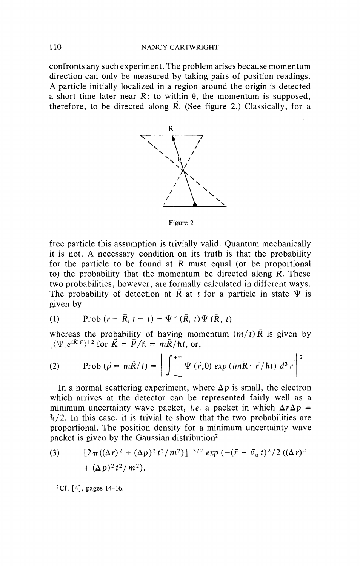#### 110 NANCY CARTWRIGHT

confronts any such experiment. The problem arises because momentum direction can only be measured by taking pairs of position readings. A particle initially localized in a region around the origin is detected a short time later near  $R$ ; to within  $\theta$ , the momentum is supposed, therefore, to be directed along  $\overline{R}$ . (See figure 2.) Classically, for a



Figure 2

free particle this assumption is trivially valid. Quantum mechanically it is not. A necessary condition on its truth is that the probability for the particle to be found at *R* must equal (or be proportional to) the probability that the momentum be directed along  $\overline{R}$ . These two probabilities, however, are formally calculated in different ways. The probability of detection at  $\vec{R}$  at *t* for a particle in state  $\Psi$  is given by

(1) Prob 
$$
(r = \vec{R}, t = t) = \Psi^* (\vec{R}, t) \Psi (\vec{R}, t)
$$

whereas the probability of having momentum  $(m/t)R$  is given by  $|\langle \Psi | e^{i\vec{K}\cdot \vec{r}} \rangle|^2$  for  $\vec{K} = \vec{P}/\hbar = m\vec{R}/\hbar t$ , or,

$$
|\langle \Psi | e^{i\mathbf{K} \cdot \mathbf{r}} \rangle|^2 \text{ for } \mathbf{K} = P/\hbar = m\mathbf{R}/\hbar t, \text{ or,}
$$
  
(2) Prob $(\vec{p} = m\vec{R}/t) = \left| \int_{-\infty}^{+\infty} \Psi(\vec{r}, 0) \exp(im\vec{R} \cdot \vec{r}/\hbar t) d^3 r \right|^2$ 

In a normal scattering experiment, where  $\Delta p$  is small, the electron which arrives at the detector can be represented fairly well as a minimum uncertainty wave packet, *i.e.* a packet in which  $\Delta r \Delta p =$ *h/2.* In this case, it is trivial to show that the two probabilities are proportional. The position density for a minimum uncertainty wave packet is given by the Gaussian distribution2

(3) 
$$
[2\pi((\Delta r)^2 + (\Delta p)^2 t^2/m^2)]^{-3/2} \exp(-(\vec{r} - \vec{v}_0 t)^2/2 ((\Delta r)^2 + (\Delta p)^2 t^2/m^2)).
$$

2Cf. [4], pages 14-16.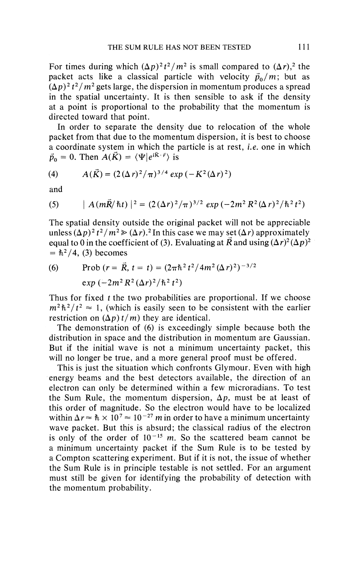For times during which  $(\Delta p)^2 t^2/m^2$  is small compared to  $(\Delta r)^2$ , the packet acts like a classical particle with velocity  $\vec{p}_0/m$ ; but as  $(\Delta p)^2 t^2/m^2$  gets large, the dispersion in momentum produces a spread in the spatial uncertainty. It is then sensible to ask if the density at a point is proportional to the probability that the momentum is directed toward that point.

In order to separate the density due to relocation of the whole packet from that due to the momentum dispersion, it is best to choose a coordinate system in which the particle is at rest, *i.e.* one in which  $\vec{p}_0 = 0$ . Then  $\vec{A}(\vec{K}) = \langle \Psi | e^{i\vec{K} \cdot \vec{r}} \rangle$  is

(4) 
$$
A(\vec{K}) = (2(\Delta r)^2/\pi)^{3/4} exp(-K^2(\Delta r)^2)
$$

and

(5) 
$$
|A(m\vec{R}/\hbar t)|^2 = (2(\Delta r)^2/\pi)^{3/2} \exp(-2m^2 R^2 (\Delta r)^2/\hbar^2 t^2)
$$

The spatial density outside the original packet will not be appreciable unless  $(\Delta p)^2 t^2/m^2 \ge (\Delta r)^2$  In this case we may set  $(\Delta r)$  approximately equal to 0 in the coefficient of (3). Evaluating at  $\overline{R}$  and using  $(\Delta r)^2 (\Delta p)^2$  $=$   $\hbar^2/4$ , (3) becomes

(6) Prob 
$$
(r = \vec{R}, t = t) = (2\pi\hbar^2 t^2 / 4m^2 (\Delta r)^2)^{-3/2}
$$
  
exp  $(-2m^2 R^2 (\Delta r)^2 / \hbar^2 t^2)$ 

Thus for fixed *t* the two probabilities are proportional. If we choose  $m^2 \hbar^2 / t^2 \approx 1$ , (which is easily seen to be consistent with the earlier restriction on  $(\Delta p) t/m$  they are identical.

The demonstration of (6) is exceedingly simple because both the distribution in space and the distribution in momentum are Gaussian. But if the initial wave is not a minimum uncertainty packet, this will no longer be true, and a more general proof must be offered.

This is just the situation which confronts Glymour. Even with high energy beams and the best detectors available, the direction of an electron can only be determined within a few microradians. To test the Sum Rule, the momentum dispersion,  $\Delta p$ , must be at least of this order of magnitude. So the electron would have to be localized within  $\Delta r \approx \hbar \times 10^7 \approx 10^{-27}$  *m* in order to have a minimum uncertainty wave packet. But this is absurd; the classical radius of the electron is only of the order of  $10^{-15}$  m. So the scattered beam cannot be a minimum uncertainty packet if the Sum Rule is to be tested by a Compton scattering experiment. But if it is not, the issue of whether the Sum Rule is in principle testable is not settled. For an argument must still be given for identifying the probability of detection with the momentum probability.